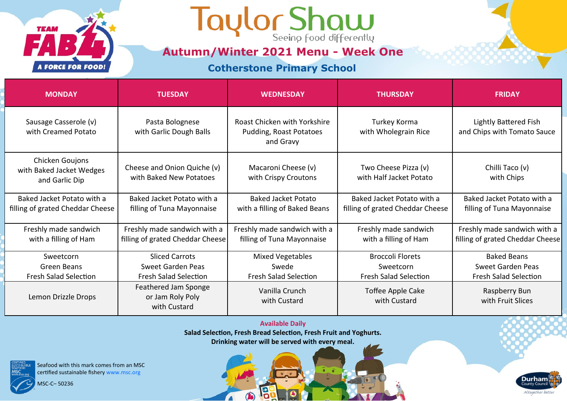

## Taylor Show

**Autumn/Winter 2021 Menu - Week One**

**Cotherstone Primary School**

| <b>MONDAY</b>                                                  | <b>TUESDAY</b>                                                   | <b>WEDNESDAY</b>                                                     | <b>THURSDAY</b>                                                | <b>FRIDAY</b>                                                    |
|----------------------------------------------------------------|------------------------------------------------------------------|----------------------------------------------------------------------|----------------------------------------------------------------|------------------------------------------------------------------|
| Sausage Casserole (v)<br>with Creamed Potato                   | Pasta Bolognese<br>with Garlic Dough Balls                       | Roast Chicken with Yorkshire<br>Pudding, Roast Potatoes<br>and Gravy | Turkey Korma<br>with Wholegrain Rice                           | Lightly Battered Fish<br>and Chips with Tomato Sauce             |
| Chicken Goujons<br>with Baked Jacket Wedges<br>and Garlic Dip  | Cheese and Onion Quiche (v)<br>with Baked New Potatoes           | Macaroni Cheese (v)<br>with Crispy Croutons                          | Two Cheese Pizza (v)<br>with Half Jacket Potato                | Chilli Taco (v)<br>with Chips                                    |
| Baked Jacket Potato with a<br>filling of grated Cheddar Cheese | Baked Jacket Potato with a<br>filling of Tuna Mayonnaise         | Baked Jacket Potato<br>with a filling of Baked Beans                 | Baked Jacket Potato with a<br>filling of grated Cheddar Cheese | Baked Jacket Potato with a<br>filling of Tuna Mayonnaise         |
| Freshly made sandwich<br>with a filling of Ham                 | Freshly made sandwich with a<br>filling of grated Cheddar Cheese | Freshly made sandwich with a<br>filling of Tuna Mayonnaise           | Freshly made sandwich<br>with a filling of Ham                 | Freshly made sandwich with a<br>filling of grated Cheddar Cheese |
| Sweetcorn                                                      | <b>Sliced Carrots</b>                                            | <b>Mixed Vegetables</b>                                              | <b>Broccoli Florets</b>                                        | <b>Baked Beans</b>                                               |
| Green Beans                                                    | Sweet Garden Peas                                                | Swede                                                                | Sweetcorn                                                      | Sweet Garden Peas                                                |
| <b>Fresh Salad Selection</b>                                   | <b>Fresh Salad Selection</b>                                     | <b>Fresh Salad Selection</b>                                         | <b>Fresh Salad Selection</b>                                   | <b>Fresh Salad Selection</b>                                     |
| Lemon Drizzle Drops                                            | Feathered Jam Sponge<br>or Jam Roly Poly<br>with Custard         | Vanilla Crunch<br>with Custard                                       | Toffee Apple Cake<br>with Custard                              | Raspberry Bun<br>with Fruit Slices                               |

**Available Daily Salad Selection, Fresh Bread Selection, Fresh Fruit and Yoghurts. Drinking water will be served with every meal.** 

19

 $\bigcirc$ 

 $\sqrt{2}$ 

Seafood with this mark comes from an MSC certified sustainable fishery www.msc.org

MSC-C– 50236

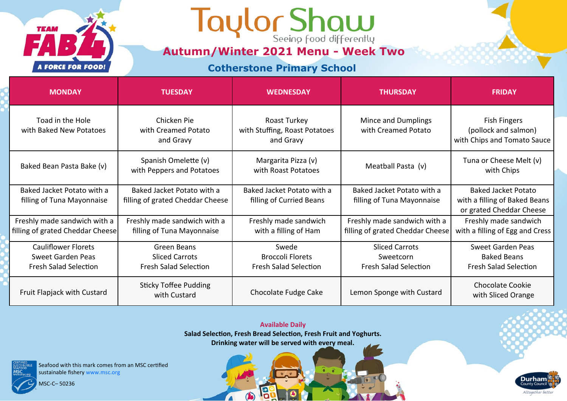## Taylor Shaw

**Autumn/Winter 2021 Menu - Week Two**

**Cotherstone Primary School**

| <b>MONDAY</b>                                                                   | <b>TUESDAY</b>                                                       | <b>WEDNESDAY</b>                                                 | <b>THURSDAY</b>                                                    | <b>FRIDAY</b>                                                                           |
|---------------------------------------------------------------------------------|----------------------------------------------------------------------|------------------------------------------------------------------|--------------------------------------------------------------------|-----------------------------------------------------------------------------------------|
| Toad in the Hole<br>with Baked New Potatoes                                     | Chicken Pie<br>with Creamed Potato<br>and Gravy                      | Roast Turkey<br>with Stuffing, Roast Potatoes<br>and Gravy       | Mince and Dumplings<br>with Creamed Potato                         | Fish Fingers<br>(pollock and salmon)<br>with Chips and Tomato Sauce                     |
| Baked Bean Pasta Bake (v)                                                       | Spanish Omelette (v)<br>with Peppers and Potatoes                    | Margarita Pizza (v)<br>with Roast Potatoes                       | Meatball Pasta (v)                                                 | Tuna or Cheese Melt (v)<br>with Chips                                                   |
| Baked Jacket Potato with a<br>filling of Tuna Mayonnaise                        | Baked Jacket Potato with a<br>filling of grated Cheddar Cheese       | Baked Jacket Potato with a<br>filling of Curried Beans           | Baked Jacket Potato with a<br>filling of Tuna Mayonnaise           | <b>Baked Jacket Potato</b><br>with a filling of Baked Beans<br>or grated Cheddar Cheese |
| Freshly made sandwich with a<br>filling of grated Cheddar Cheese                | Freshly made sandwich with a<br>filling of Tuna Mayonnaise           | Freshly made sandwich<br>with a filling of Ham                   | Freshly made sandwich with a<br>filling of grated Cheddar Cheese   | Freshly made sandwich<br>with a filling of Egg and Cress                                |
| <b>Cauliflower Florets</b><br>Sweet Garden Peas<br><b>Fresh Salad Selection</b> | Green Beans<br><b>Sliced Carrots</b><br><b>Fresh Salad Selection</b> | Swede<br><b>Broccoli Florets</b><br><b>Fresh Salad Selection</b> | <b>Sliced Carrots</b><br>Sweetcorn<br><b>Fresh Salad Selection</b> | <b>Sweet Garden Peas</b><br><b>Baked Beans</b><br><b>Fresh Salad Selection</b>          |
| Fruit Flapjack with Custard                                                     | <b>Sticky Toffee Pudding</b><br>with Custard                         | Chocolate Fudge Cake                                             | Lemon Sponge with Custard                                          | <b>Chocolate Cookie</b><br>with Sliced Orange                                           |

**Available Daily Salad Selection, Fresh Bread Selection, Fresh Fruit and Yoghurts. Drinking water will be served with every meal.** 

19

 $\bigcirc$ 

 $\sqrt{2}$ 

Seafood with this mark comes from an MSC certified sustainable fishery www.msc.org

MSC-C– 50236

**TEAM** 

**A FORCE FOR FOOD!** 

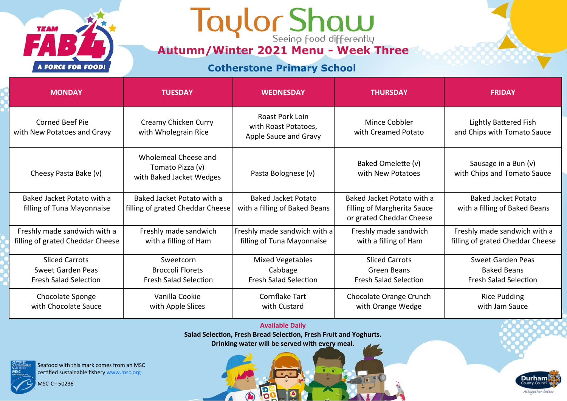## **Autumn/Winter 2021 Menu - Week Three**

**Cotherstone Primary School**

| <b>MONDAY</b>                                                                     | <b>TUESDAY</b>                                                       | <b>WEDNESDAY</b>                                                   | <b>THURSDAY</b>                                                                       | <b>FRIDAY</b>                                                           |
|-----------------------------------------------------------------------------------|----------------------------------------------------------------------|--------------------------------------------------------------------|---------------------------------------------------------------------------------------|-------------------------------------------------------------------------|
| Corned Beef Pie<br>with New Potatoes and Gravy                                    | Creamy Chicken Curry<br>with Wholegrain Rice                         | Roast Pork Loin<br>with Roast Potatoes,<br>Apple Sauce and Gravy   | Mince Cobbler<br>with Creamed Potato                                                  | Lightly Battered Fish<br>and Chips with Tomato Sauce                    |
| Cheesy Pasta Bake (v)                                                             | Wholemeal Cheese and<br>Tomato Pizza (v)<br>with Baked Jacket Wedges | Pasta Bolognese (v)                                                | Baked Omelette (v)<br>with New Potatoes                                               | Sausage in a Bun (v)<br>with Chips and Tomato Sauce                     |
| Baked Jacket Potato with a<br>filling of Tuna Mayonnaise                          | Baked Jacket Potato with a<br>filling of grated Cheddar Cheese       | <b>Baked Jacket Potato</b><br>with a filling of Baked Beans        | Baked Jacket Potato with a<br>filling of Margherita Sauce<br>or grated Cheddar Cheese | <b>Baked Jacket Potato</b><br>with a filling of Baked Beans             |
| Freshly made sandwich with a<br>filling of grated Cheddar Cheese                  | Freshly made sandwich<br>with a filling of Ham                       | Freshly made sandwich with a<br>filling of Tuna Mayonnaise         | Freshly made sandwich<br>with a filling of Ham                                        | Freshly made sandwich with a<br>filling of grated Cheddar Cheese        |
| <b>Sliced Carrots</b><br><b>Sweet Garden Peas</b><br><b>Fresh Salad Selection</b> | Sweetcorn<br><b>Broccoli Florets</b><br><b>Fresh Salad Selection</b> | <b>Mixed Vegetables</b><br>Cabbage<br><b>Fresh Salad Selection</b> | <b>Sliced Carrots</b><br>Green Beans<br><b>Fresh Salad Selection</b>                  | Sweet Garden Peas<br><b>Baked Beans</b><br><b>Fresh Salad Selection</b> |
| Chocolate Sponge<br>with Chocolate Sauce                                          | Vanilla Cookie<br>with Apple Slices                                  | Cornflake Tart<br>with Custard                                     | Chocolate Orange Crunch<br>with Orange Wedge                                          | <b>Rice Pudding</b><br>with Jam Sauce                                   |

**Available Daily**

**Salad Selection, Fresh Bread Selection, Fresh Fruit and Yoghurts.**

**Drinking water will be served with every meal.** 

19

 $\bigcirc$ 

 $\sqrt{2}$ 

Seafood with this mark comes from an MSC certified sustainable fishery www.msc.org

MSC-C– 50236

**TEAM** 

**A FORCE FOR FOOD!**